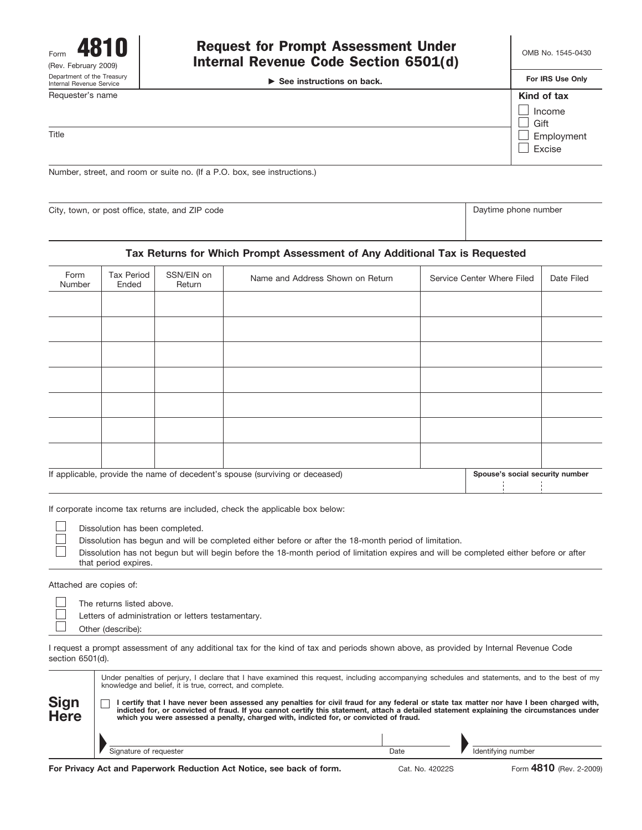| 4810<br>Form<br>(Rev. February 2009)                   | <b>Request for Prompt Assessment Under</b><br>Internal Revenue Code Section 6501(d)<br>$\triangleright$ See instructions on back. |                               |
|--------------------------------------------------------|-----------------------------------------------------------------------------------------------------------------------------------|-------------------------------|
| Department of the Treasury<br>Internal Revenue Service |                                                                                                                                   |                               |
| Requester's name                                       |                                                                                                                                   | Kind of tax<br>Income<br>Gift |
| Title                                                  |                                                                                                                                   | Employment<br>Excise          |

Number, street, and room or suite no. (If a P.O. box, see instructions.)

City, town, or post office, state, and ZIP code Daytime phone number Daytime phone number

### **Tax Returns for Which Prompt Assessment of Any Additional Tax is Requested**

| Form<br>Number                                                               | Tax Period<br>Ended | SSN/EIN on<br>Return | Name and Address Shown on Return |  | Service Center Where Filed | Date Filed |
|------------------------------------------------------------------------------|---------------------|----------------------|----------------------------------|--|----------------------------|------------|
|                                                                              |                     |                      |                                  |  |                            |            |
|                                                                              |                     |                      |                                  |  |                            |            |
|                                                                              |                     |                      |                                  |  |                            |            |
|                                                                              |                     |                      |                                  |  |                            |            |
|                                                                              |                     |                      |                                  |  |                            |            |
|                                                                              |                     |                      |                                  |  |                            |            |
|                                                                              |                     |                      |                                  |  |                            |            |
| If applicable, provide the name of decedent's spouse (surviving or deceased) |                     |                      | Spouse's social security number  |  |                            |            |

If corporate income tax returns are included, check the applicable box below:

Dissolution has been completed.

Dissolution has begun and will be completed either before or after the 18-month period of limitation.

| Dissolution has not begun but will begin before the 18-month period of limitation expires and will be completed either before or after |  |
|----------------------------------------------------------------------------------------------------------------------------------------|--|
| that period expires.                                                                                                                   |  |

Attached are copies of:

 $\vert \ \ \vert$ П

 $\Box$ 

The returns listed above.

Letters of administration or letters testamentary.

Other (describe):

I request a prompt assessment of any additional tax for the kind of tax and periods shown above, as provided by Internal Revenue Code section 6501(d).

|              |                                                                                                                                                                                                                                                                                                                                                                                 | Under penalties of perjury, I declare that I have examined this request, including accompanying schedules and statements, and to the best of my<br>knowledge and belief, it is true, correct, and complete. |      |  |                    |
|--------------|---------------------------------------------------------------------------------------------------------------------------------------------------------------------------------------------------------------------------------------------------------------------------------------------------------------------------------------------------------------------------------|-------------------------------------------------------------------------------------------------------------------------------------------------------------------------------------------------------------|------|--|--------------------|
| Sign<br>Here | l certify that I have never been assessed any penalties for civil fraud for any federal or state tax matter nor have I been charged with,<br>indicted for, or convicted of fraud. If you cannot certify this statement, attach a detailed statement explaining the circumstances under<br>which you were assessed a penalty, charged with, indicted for, or convicted of fraud. |                                                                                                                                                                                                             |      |  |                    |
|              |                                                                                                                                                                                                                                                                                                                                                                                 |                                                                                                                                                                                                             |      |  |                    |
|              |                                                                                                                                                                                                                                                                                                                                                                                 | Signature of requester                                                                                                                                                                                      | Date |  | Identifving number |
|              |                                                                                                                                                                                                                                                                                                                                                                                 |                                                                                                                                                                                                             |      |  |                    |

**For Privacy Act and Paperwork Reduction Act Notice, see back of form.**